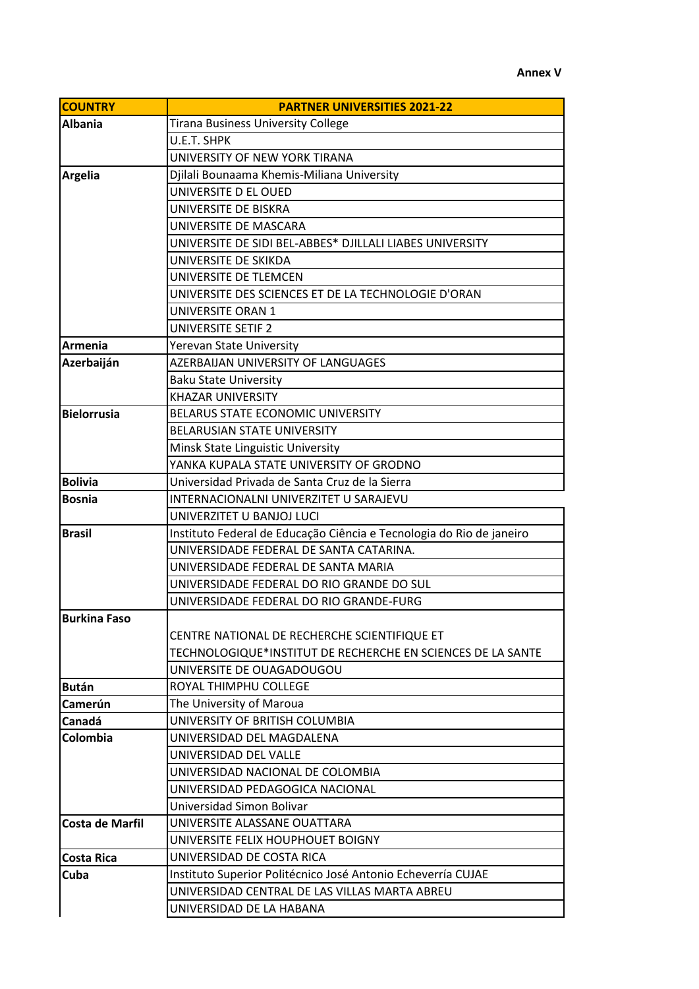## **Annex V**

| <b>COUNTRY</b>      | <b>PARTNER UNIVERSITIES 2021-22</b>                                  |
|---------------------|----------------------------------------------------------------------|
| <b>Albania</b>      | <b>Tirana Business University College</b>                            |
|                     | U.E.T. SHPK                                                          |
|                     | UNIVERSITY OF NEW YORK TIRANA                                        |
| <b>Argelia</b>      | Djilali Bounaama Khemis-Miliana University                           |
|                     | UNIVERSITE D EL OUED                                                 |
|                     | UNIVERSITE DE BISKRA                                                 |
|                     | UNIVERSITE DE MASCARA                                                |
|                     | UNIVERSITE DE SIDI BEL-ABBES* DJILLALI LIABES UNIVERSITY             |
|                     | UNIVERSITE DE SKIKDA                                                 |
|                     | UNIVERSITE DE TLEMCEN                                                |
|                     | UNIVERSITE DES SCIENCES ET DE LA TECHNOLOGIE D'ORAN                  |
|                     | <b>UNIVERSITE ORAN 1</b>                                             |
|                     | <b>UNIVERSITE SETIF 2</b>                                            |
| Armenia             | <b>Yerevan State University</b>                                      |
| Azerbaiján          | <b>AZERBAIJAN UNIVERSITY OF LANGUAGES</b>                            |
|                     | <b>Baku State University</b>                                         |
|                     | <b>KHAZAR UNIVERSITY</b>                                             |
| <b>Bielorrusia</b>  | <b>BELARUS STATE ECONOMIC UNIVERSITY</b>                             |
|                     | <b>BELARUSIAN STATE UNIVERSITY</b>                                   |
|                     | Minsk State Linguistic University                                    |
|                     | YANKA KUPALA STATE UNIVERSITY OF GRODNO                              |
| <b>Bolivia</b>      | Universidad Privada de Santa Cruz de la Sierra                       |
| <b>Bosnia</b>       | INTERNACIONALNI UNIVERZITET U SARAJEVU                               |
|                     | UNIVERZITET U BANJOJ LUCI                                            |
| <b>Brasil</b>       | Instituto Federal de Educação Ciência e Tecnologia do Rio de janeiro |
|                     | UNIVERSIDADE FEDERAL DE SANTA CATARINA.                              |
|                     | UNIVERSIDADE FEDERAL DE SANTA MARIA                                  |
|                     | UNIVERSIDADE FEDERAL DO RIO GRANDE DO SUL                            |
|                     | UNIVERSIDADE FEDERAL DO RIO GRANDE-FURG                              |
| <b>Burkina Faso</b> |                                                                      |
|                     | CENTRE NATIONAL DE RECHERCHE SCIENTIFIQUE ET                         |
|                     | TECHNOLOGIQUE*INSTITUT DE RECHERCHE EN SCIENCES DE LA SANTE          |
|                     | UNIVERSITE DE OUAGADOUGOU                                            |
| Bután               | ROYAL THIMPHU COLLEGE                                                |
| Camerún             | The University of Maroua                                             |
| Canadá              | UNIVERSITY OF BRITISH COLUMBIA                                       |
| Colombia            | UNIVERSIDAD DEL MAGDALENA                                            |
|                     | UNIVERSIDAD DEL VALLE                                                |
|                     | UNIVERSIDAD NACIONAL DE COLOMBIA                                     |
|                     | UNIVERSIDAD PEDAGOGICA NACIONAL                                      |
|                     | Universidad Simon Bolivar                                            |
| Costa de Marfil     | UNIVERSITE ALASSANE OUATTARA                                         |
|                     | UNIVERSITE FELIX HOUPHOUET BOIGNY                                    |
| <b>Costa Rica</b>   | UNIVERSIDAD DE COSTA RICA                                            |
| <b>Cuba</b>         | Instituto Superior Politécnico José Antonio Echeverría CUJAE         |
|                     | UNIVERSIDAD CENTRAL DE LAS VILLAS MARTA ABREU                        |
|                     | UNIVERSIDAD DE LA HABANA                                             |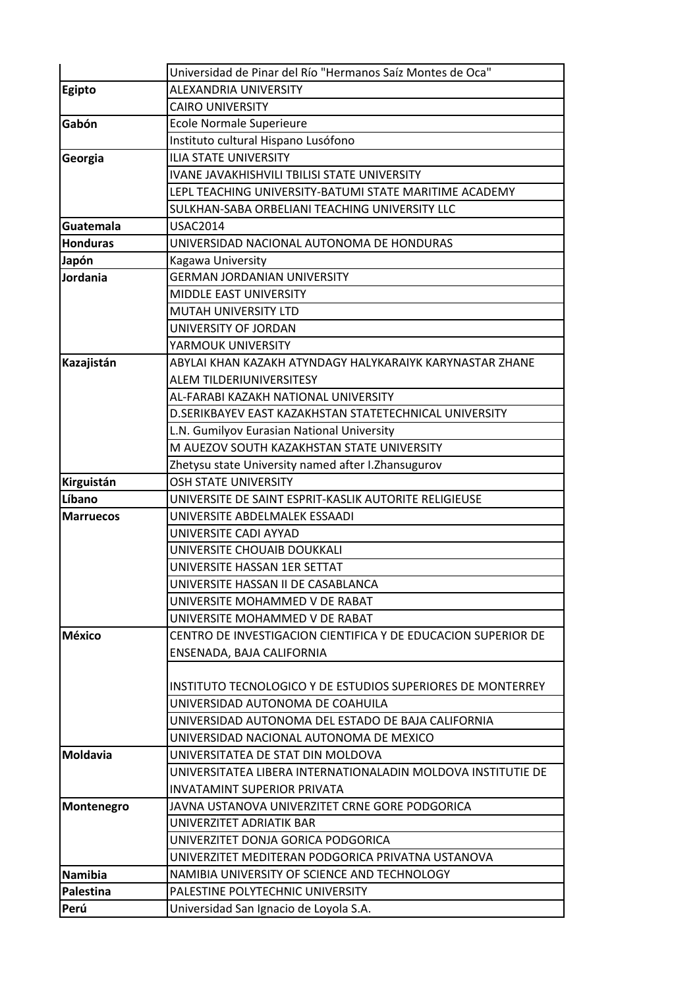|                  | Universidad de Pinar del Río "Hermanos Saíz Montes de Oca"    |
|------------------|---------------------------------------------------------------|
| <b>Egipto</b>    | <b>ALEXANDRIA UNIVERSITY</b>                                  |
|                  | <b>CAIRO UNIVERSITY</b>                                       |
| Gabón            | Ecole Normale Superieure                                      |
|                  | Instituto cultural Hispano Lusófono                           |
| Georgia          | <b>ILIA STATE UNIVERSITY</b>                                  |
|                  | <b>IVANE JAVAKHISHVILI TBILISI STATE UNIVERSITY</b>           |
|                  | LEPL TEACHING UNIVERSITY-BATUMI STATE MARITIME ACADEMY        |
|                  | SULKHAN-SABA ORBELIANI TEACHING UNIVERSITY LLC                |
| Guatemala        | <b>USAC2014</b>                                               |
| <b>Honduras</b>  | UNIVERSIDAD NACIONAL AUTONOMA DE HONDURAS                     |
| Japón            | Kagawa University                                             |
| Jordania         | <b>GERMAN JORDANIAN UNIVERSITY</b>                            |
|                  | <b>MIDDLE EAST UNIVERSITY</b>                                 |
|                  | <b>MUTAH UNIVERSITY LTD</b>                                   |
|                  | UNIVERSITY OF JORDAN                                          |
|                  | YARMOUK UNIVERSITY                                            |
| Kazajistán       | ABYLAI KHAN KAZAKH ATYNDAGY HALYKARAIYK KARYNASTAR ZHANE      |
|                  | ALEM TILDERIUNIVERSITESY                                      |
|                  | AL-FARABI KAZAKH NATIONAL UNIVERSITY                          |
|                  | D.SERIKBAYEV EAST KAZAKHSTAN STATETECHNICAL UNIVERSITY        |
|                  | L.N. Gumilyov Eurasian National University                    |
|                  | M AUEZOV SOUTH KAZAKHSTAN STATE UNIVERSITY                    |
|                  | Zhetysu state University named after I.Zhansugurov            |
| Kirguistán       | <b>OSH STATE UNIVERSITY</b>                                   |
| Líbano           | UNIVERSITE DE SAINT ESPRIT-KASLIK AUTORITE RELIGIEUSE         |
| <b>Marruecos</b> | UNIVERSITE ABDELMALEK ESSAADI                                 |
|                  | UNIVERSITE CADI AYYAD                                         |
|                  | UNIVERSITE CHOUAIB DOUKKALI                                   |
|                  | UNIVERSITE HASSAN 1ER SETTAT                                  |
|                  | UNIVERSITE HASSAN II DE CASABLANCA                            |
|                  | UNIVERSITE MOHAMMED V DE RABAT                                |
|                  | UNIVERSITE MOHAMMED V DE RABAT                                |
| <b>México</b>    | CENTRO DE INVESTIGACION CIENTIFICA Y DE EDUCACION SUPERIOR DE |
|                  | ENSENADA, BAJA CALIFORNIA                                     |
|                  |                                                               |
|                  | INSTITUTO TECNOLOGICO Y DE ESTUDIOS SUPERIORES DE MONTERREY   |
|                  | UNIVERSIDAD AUTONOMA DE COAHUILA                              |
|                  | UNIVERSIDAD AUTONOMA DEL ESTADO DE BAJA CALIFORNIA            |
|                  | UNIVERSIDAD NACIONAL AUTONOMA DE MEXICO                       |
| <b>Moldavia</b>  | UNIVERSITATEA DE STAT DIN MOLDOVA                             |
|                  | UNIVERSITATEA LIBERA INTERNATIONALADIN MOLDOVA INSTITUTIE DE  |
|                  | <b>INVATAMINT SUPERIOR PRIVATA</b>                            |
| Montenegro       | JAVNA USTANOVA UNIVERZITET CRNE GORE PODGORICA                |
|                  | UNIVERZITET ADRIATIK BAR                                      |
|                  | UNIVERZITET DONJA GORICA PODGORICA                            |
|                  | UNIVERZITET MEDITERAN PODGORICA PRIVATNA USTANOVA             |
| <b>Namibia</b>   | NAMIBIA UNIVERSITY OF SCIENCE AND TECHNOLOGY                  |
| Palestina        | PALESTINE POLYTECHNIC UNIVERSITY                              |
| Perú             | Universidad San Ignacio de Loyola S.A.                        |